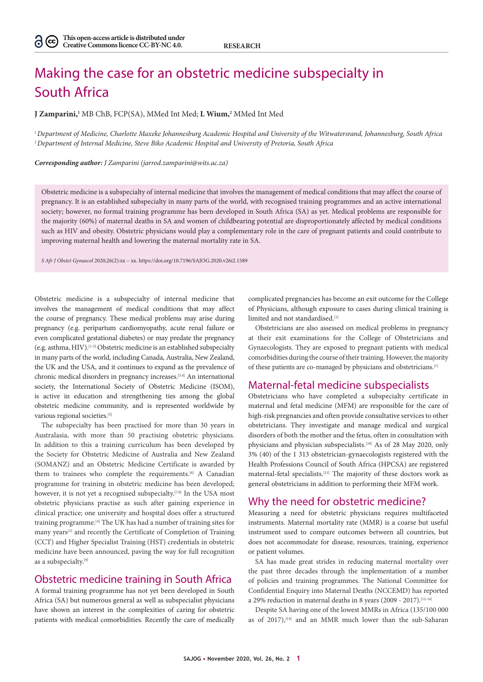# Making the case for an obstetric medicine subspecialty in South Africa

**J Zamparini,1** MB ChB, FCP(SA), MMed Int Med; **L Wium,2** MMed Int Med

<sup>1</sup>*Department of Medicine, Charlotte Maxeke Johannesburg Academic Hospital and University of the Witwatersrand, Johannesburg, South Africa* <sup>2</sup>*Department of Internal Medicine, Steve Biko Academic Hospital and University of Pretoria, South Africa*

*Corresponding author: J Zamparini (jarrod.zamparini@wits.ac.za)*

Obstetric medicine is a subspecialty of internal medicine that involves the management of medical conditions that may affect the course of pregnancy. It is an established subspecialty in many parts of the world, with recognised training programmes and an active international society; however, no formal training programme has been developed in South Africa (SA) as yet. Medical problems are responsible for the majority (60%) of maternal deaths in SA and women of childbearing potential are disproportionately affected by medical conditions such as HIV and obesity. Obstetric physicians would play a complementary role in the care of pregnant patients and could contribute to improving maternal health and lowering the maternal mortality rate in SA.

*S Afr J Obstet Gynaecol* 2020;26(2):xx – xx. https://doi.org/10.7196/SAJOG.2020.v26i2.1589

Obstetric medicine is a subspecialty of internal medicine that involves the management of medical conditions that may affect the course of pregnancy. These medical problems may arise during pregnancy (e.g. peripartum cardiomyopathy, acute renal failure or even complicated gestational diabetes) or may predate the pregnancy (e.g. asthma, HIV).[1-3] Obstetric medicine is an established subspecialty in many parts of the world, including Canada, Australia, New Zealand, the UK and the USA, and it continues to expand as the prevalence of chronic medical disorders in pregnancy increases.[3,4] An international society, the International Society of Obstetric Medicine (ISOM), is active in education and strengthening ties among the global obstetric medicine community, and is represented worldwide by various regional societies.<sup>[5]</sup>

The subspecialty has been practised for more than 30 years in Australasia, with more than 50 practising obstetric physicians. In addition to this a training curriculum has been developed by the Society for Obstetric Medicine of Australia and New Zealand (SOMANZ) and an Obstetric Medicine Certificate is awarded by them to trainees who complete the requirements.<sup>[6]</sup> A Canadian programme for training in obstetric medicine has been developed; however, it is not yet a recognised subspecialty.<sup>[7,8]</sup> In the USA most obstetric physicians practise as such after gaining experience in clinical practice; one university and hospital does offer a structured training programme.[4] The UK has had a number of training sites for many years<sup>[2]</sup> and recently the Certificate of Completion of Training (CCT) and Higher Specialist Training (HST) credentials in obstetric medicine have been announced, paving the way for full recognition as a subspecialty.[9]

## Obstetric medicine training in South Africa

A formal training programme has not yet been developed in South Africa (SA) but numerous general as well as subspecialist physicians have shown an interest in the complexities of caring for obstetric patients with medical comorbidities. Recently the care of medically complicated pregnancies has become an exit outcome for the College of Physicians, although exposure to cases during clinical training is limited and not standardised.[1]

Obstetricians are also assessed on medical problems in pregnancy at their exit examinations for the College of Obstetricians and Gynaecologists. They are exposed to pregnant patients with medical comorbidities during the course of their training. However, the majority of these patients are co-managed by physicians and obstetricians.[1]

### Maternal-fetal medicine subspecialists

Obstetricians who have completed a subspecialty certificate in maternal and fetal medicine (MFM) are responsible for the care of high-risk pregnancies and often provide consultative services to other obstetricians. They investigate and manage medical and surgical disorders of both the mother and the fetus, often in consultation with physicians and physician subspecialists.[10] As of 28 May 2020, only 3% (40) of the 1 313 obstetrician-gynaecologists registered with the Health Professions Council of South Africa (HPCSA) are registered maternal-fetal specialists.[11] The majority of these doctors work as general obstetricians in addition to performing their MFM work.

#### Why the need for obstetric medicine?

Measuring a need for obstetric physicians requires multifaceted instruments. Maternal mortality rate (MMR) is a coarse but useful instrument used to compare outcomes between all countries, but does not accommodate for disease, resources, training, experience or patient volumes.

SA has made great strides in reducing maternal mortality over the past three decades through the implementation of a number of policies and training programmes. The National Committee for Confidential Enquiry into Maternal Deaths (NCCEMD) has reported a 29% reduction in maternal deaths in 8 years (2009 - 2017).[12-14]

Despite SA having one of the lowest MMRs in Africa (135/100 000 as of 2017), $[14]$  and an MMR much lower than the sub-Saharan